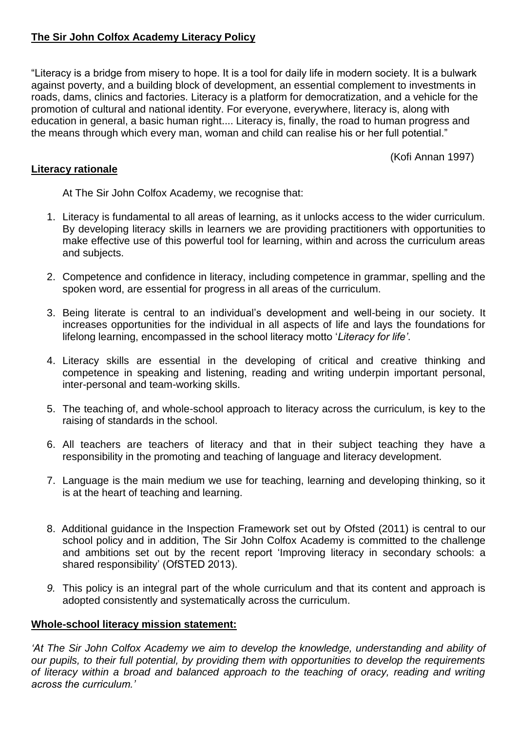# **The Sir John Colfox Academy Literacy Policy**

"Literacy is a bridge from misery to hope. It is a tool for daily life in modern society. It is a bulwark against poverty, and a building block of development, an essential complement to investments in roads, dams, clinics and factories. Literacy is a platform for democratization, and a vehicle for the promotion of cultural and national identity. For everyone, everywhere, literacy is, along with education in general, a basic human right.... Literacy is, finally, the road to human progress and the means through which every man, woman and child can realise his or her full potential."

(Kofi Annan 1997)

## **Literacy rationale**

At The Sir John Colfox Academy, we recognise that:

- 1. Literacy is fundamental to all areas of learning, as it unlocks access to the wider curriculum. By developing literacy skills in learners we are providing practitioners with opportunities to make effective use of this powerful tool for learning, within and across the curriculum areas and subjects.
- 2. Competence and confidence in literacy, including competence in grammar, spelling and the spoken word, are essential for progress in all areas of the curriculum.
- 3. Being literate is central to an individual's development and well-being in our society. It increases opportunities for the individual in all aspects of life and lays the foundations for lifelong learning, encompassed in the school literacy motto '*Literacy for life'*.
- 4. Literacy skills are essential in the developing of critical and creative thinking and competence in speaking and listening, reading and writing underpin important personal, inter-personal and team-working skills.
- 5. The teaching of, and whole-school approach to literacy across the curriculum, is key to the raising of standards in the school.
- 6. All teachers are teachers of literacy and that in their subject teaching they have a responsibility in the promoting and teaching of language and literacy development.
- 7. Language is the main medium we use for teaching, learning and developing thinking, so it is at the heart of teaching and learning.
- 8. Additional guidance in the Inspection Framework set out by Ofsted (2011) is central to our school policy and in addition, The Sir John Colfox Academy is committed to the challenge and ambitions set out by the recent report 'Improving literacy in secondary schools: a shared responsibility' (OfSTED 2013).
- *9.* This policy is an integral part of the whole curriculum and that its content and approach is adopted consistently and systematically across the curriculum.

## **Whole-school literacy mission statement:**

*'At The Sir John Colfox Academy we aim to develop the knowledge, understanding and ability of our pupils, to their full potential, by providing them with opportunities to develop the requirements of literacy within a broad and balanced approach to the teaching of oracy, reading and writing across the curriculum.'*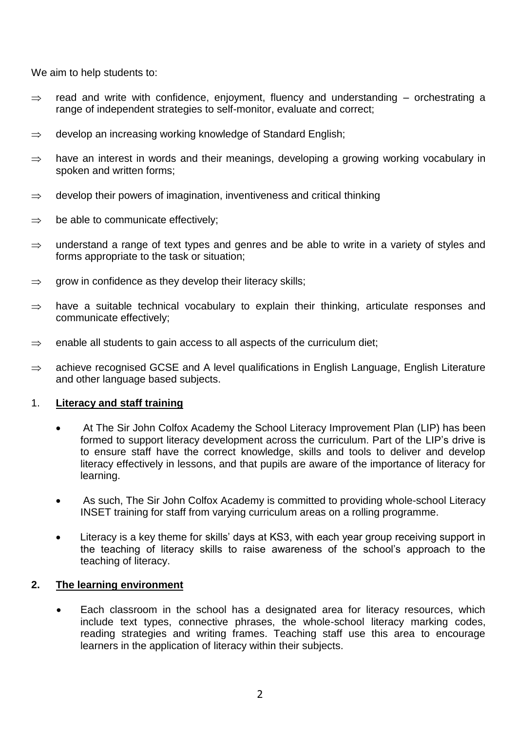We aim to help students to:

- $\Rightarrow$  read and write with confidence, enjoyment, fluency and understanding orchestrating a range of independent strategies to self-monitor, evaluate and correct;
- $\Rightarrow$  develop an increasing working knowledge of Standard English:
- $\Rightarrow$  have an interest in words and their meanings, developing a growing working vocabulary in spoken and written forms;
- $\Rightarrow$  develop their powers of imagination, inventiveness and critical thinking
- $\Rightarrow$  be able to communicate effectively;
- $\Rightarrow$  understand a range of text types and genres and be able to write in a variety of styles and forms appropriate to the task or situation;
- $\Rightarrow$  grow in confidence as they develop their literacy skills;
- $\Rightarrow$  have a suitable technical vocabulary to explain their thinking, articulate responses and communicate effectively;
- $\Rightarrow$  enable all students to gain access to all aspects of the curriculum diet;
- $\Rightarrow$  achieve recognised GCSE and A level qualifications in English Language, English Literature and other language based subjects.

# 1. **Literacy and staff training**

- At The Sir John Colfox Academy the School Literacy Improvement Plan (LIP) has been formed to support literacy development across the curriculum. Part of the LIP's drive is to ensure staff have the correct knowledge, skills and tools to deliver and develop literacy effectively in lessons, and that pupils are aware of the importance of literacy for learning.
- As such, The Sir John Colfox Academy is committed to providing whole-school Literacy INSET training for staff from varying curriculum areas on a rolling programme.
- Literacy is a key theme for skills' days at KS3, with each year group receiving support in the teaching of literacy skills to raise awareness of the school's approach to the teaching of literacy.

# **2. The learning environment**

 Each classroom in the school has a designated area for literacy resources, which include text types, connective phrases, the whole-school literacy marking codes, reading strategies and writing frames. Teaching staff use this area to encourage learners in the application of literacy within their subjects.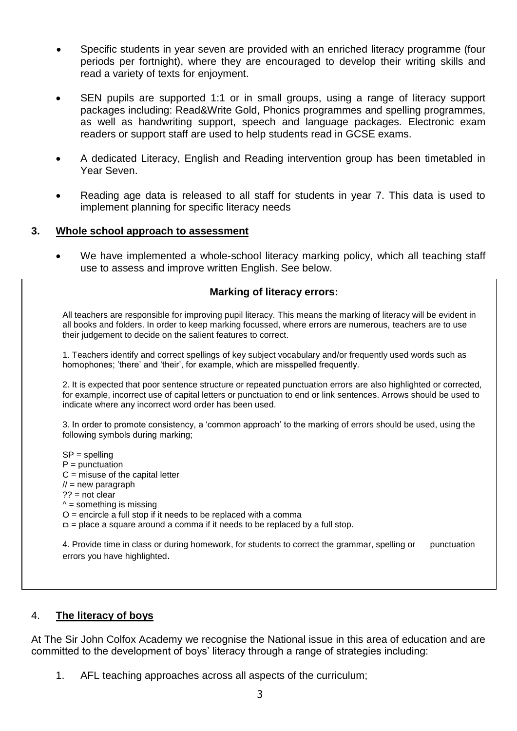- Specific students in year seven are provided with an enriched literacy programme (four periods per fortnight), where they are encouraged to develop their writing skills and read a variety of texts for enjoyment.
- SEN pupils are supported 1:1 or in small groups, using a range of literacy support packages including: Read&Write Gold, Phonics programmes and spelling programmes, as well as handwriting support, speech and language packages. Electronic exam readers or support staff are used to help students read in GCSE exams.
- A dedicated Literacy, English and Reading intervention group has been timetabled in Year Seven.
- Reading age data is released to all staff for students in year 7. This data is used to implement planning for specific literacy needs

## **3. Whole school approach to assessment**

We have implemented a whole-school literacy marking policy, which all teaching staff use to assess and improve written English. See below.

## **Marking of literacy errors:**

All teachers are responsible for improving pupil literacy. This means the marking of literacy will be evident in all books and folders. In order to keep marking focussed, where errors are numerous, teachers are to use their judgement to decide on the salient features to correct.

1. Teachers identify and correct spellings of key subject vocabulary and/or frequently used words such as homophones; 'there' and 'their', for example, which are misspelled frequently.

2. It is expected that poor sentence structure or repeated punctuation errors are also highlighted or corrected, for example, incorrect use of capital letters or punctuation to end or link sentences. Arrows should be used to indicate where any incorrect word order has been used.

3. In order to promote consistency, a 'common approach' to the marking of errors should be used, using the following symbols during marking;

SP = spelling  $P =$  punctuation  $C =$  misuse of the capital letter  $\mathcal{U}$  = new paragraph ?? = not clear  $\lambda$  = something is missing  $O =$  encircle a full stop if it needs to be replaced with a comma  $D =$  place a square around a comma if it needs to be replaced by a full stop.

4. Provide time in class or during homework, for students to correct the grammar, spelling or punctuation errors you have highlighted.

#### 4. **The literacy of boys**

At The Sir John Colfox Academy we recognise the National issue in this area of education and are committed to the development of boys' literacy through a range of strategies including:

1. AFL teaching approaches across all aspects of the curriculum;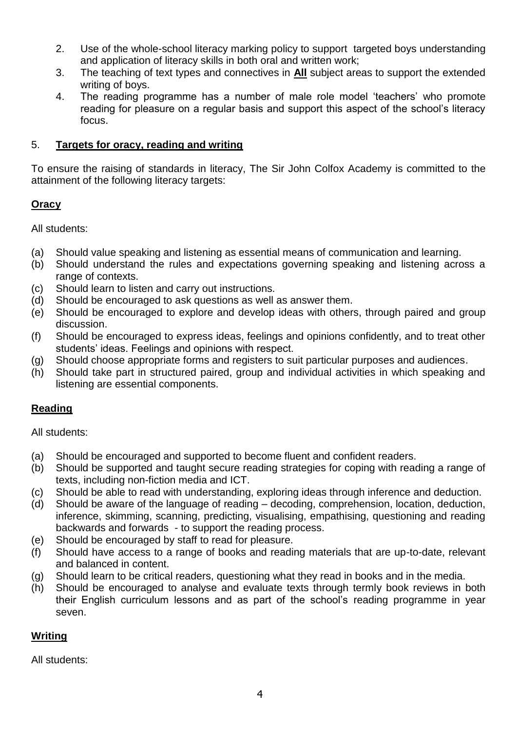- 2. Use of the whole-school literacy marking policy to support targeted boys understanding and application of literacy skills in both oral and written work;
- 3. The teaching of text types and connectives in **All** subject areas to support the extended writing of boys.
- 4. The reading programme has a number of male role model 'teachers' who promote reading for pleasure on a regular basis and support this aspect of the school's literacy focus.

# 5. **Targets for oracy, reading and writing**

To ensure the raising of standards in literacy, The Sir John Colfox Academy is committed to the attainment of the following literacy targets:

# **Oracy**

All students:

- (a) Should value speaking and listening as essential means of communication and learning.
- (b) Should understand the rules and expectations governing speaking and listening across a range of contexts.
- (c) Should learn to listen and carry out instructions.
- (d) Should be encouraged to ask questions as well as answer them.
- (e) Should be encouraged to explore and develop ideas with others, through paired and group discussion.
- (f) Should be encouraged to express ideas, feelings and opinions confidently, and to treat other students' ideas. Feelings and opinions with respect.
- (g) Should choose appropriate forms and registers to suit particular purposes and audiences.
- (h) Should take part in structured paired, group and individual activities in which speaking and listening are essential components.

# **Reading**

All students:

- (a) Should be encouraged and supported to become fluent and confident readers.
- (b) Should be supported and taught secure reading strategies for coping with reading a range of texts, including non-fiction media and ICT.
- (c) Should be able to read with understanding, exploring ideas through inference and deduction.
- (d) Should be aware of the language of reading decoding, comprehension, location, deduction, inference, skimming, scanning, predicting, visualising, empathising, questioning and reading backwards and forwards - to support the reading process.
- (e) Should be encouraged by staff to read for pleasure.
- (f) Should have access to a range of books and reading materials that are up-to-date, relevant and balanced in content.
- (g) Should learn to be critical readers, questioning what they read in books and in the media.
- (h) Should be encouraged to analyse and evaluate texts through termly book reviews in both their English curriculum lessons and as part of the school's reading programme in year seven.

# **Writing**

All students: